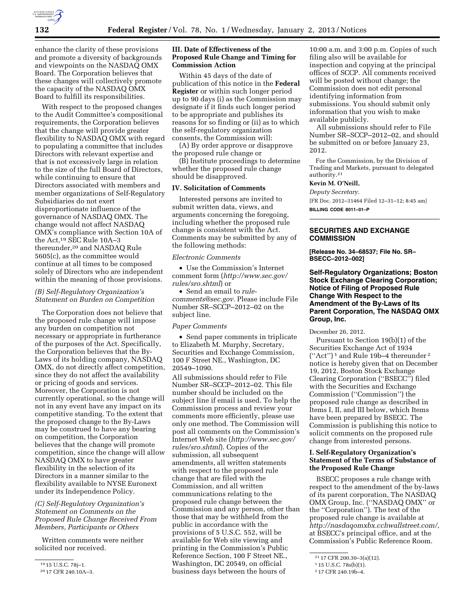

enhance the clarity of these provisions and promote a diversity of backgrounds and viewpoints on the NASDAQ OMX Board. The Corporation believes that these changes will collectively promote the capacity of the NASDAQ OMX Board to fulfill its responsibilities.

With respect to the proposed changes to the Audit Committee's compositional requirements, the Corporation believes that the change will provide greater flexibility to NASDAQ OMX with regard to populating a committee that includes Directors with relevant expertise and that is not excessively large in relation to the size of the full Board of Directors, while continuing to ensure that Directors associated with members and member organizations of Self-Regulatory Subsidiaries do not exert disproportionate influence of the governance of NASDAQ OMX. The change would not affect NASDAQ OMX's compliance with Section 10A of the Act,19 SEC Rule 10A–3 thereunder,20 and NASDAQ Rule 5605(c), as the committee would continue at all times to be composed solely of Directors who are independent within the meaning of those provisions.

## *(B) Self-Regulatory Organization's Statement on Burden on Competition*

The Corporation does not believe that the proposed rule change will impose any burden on competition not necessary or appropriate in furtherance of the purposes of the Act. Specifically, the Corporation believes that the By-Laws of its holding company, NASDAQ OMX, do not directly affect competition, since they do not affect the availability or pricing of goods and services. Moreover, the Corporation is not currently operational, so the change will not in any event have any impact on its competitive standing. To the extent that the proposed change to the By-Laws may be construed to have any bearing on competition, the Corporation believes that the change will promote competition, since the change will allow NASDAQ OMX to have greater flexibility in the selection of its Directors in a manner similar to the flexibility available to NYSE Euronext under its Independence Policy.

## *(C) Self-Regulatory Organization's Statement on Comments on the Proposed Rule Change Received From Members, Participants or Others*

Written comments were neither solicited nor received.

## **III. Date of Effectiveness of the Proposed Rule Change and Timing for Commission Action**

Within 45 days of the date of publication of this notice in the **Federal Register** or within such longer period up to 90 days (i) as the Commission may designate if it finds such longer period to be appropriate and publishes its reasons for so finding or (ii) as to which the self-regulatory organization consents, the Commission will:

(A) By order approve or disapprove the proposed rule change or

(B) Institute proceedings to determine whether the proposed rule change should be disapproved.

### **IV. Solicitation of Comments**

Interested persons are invited to submit written data, views, and arguments concerning the foregoing, including whether the proposed rule change is consistent with the Act. Comments may be submitted by any of the following methods:

## *Electronic Comments*

• Use the Commission's Internet comment form (*[http://www.sec.gov/](http://www.sec.gov/rules/sro.shtml)  [rules/sro.shtml](http://www.sec.gov/rules/sro.shtml)*) or

• Send an email to *[rule](mailto:rule-comments@sec.gov)[comments@sec.gov.](mailto:rule-comments@sec.gov)* Please include File Number SR–SCCP–2012–02 on the subject line.

#### *Paper Comments*

• Send paper comments in triplicate to Elizabeth M. Murphy, Secretary, Securities and Exchange Commission, 100 F Street NE., Washington, DC 20549–1090.

All submissions should refer to File Number SR–SCCP–2012–02. This file number should be included on the subject line if email is used. To help the Commission process and review your comments more efficiently, please use only one method. The Commission will post all comments on the Commission's Internet Web site (*[http://www.sec.gov/](http://www.sec.gov/rules/sro.shtml)  [rules/sro.shtml](http://www.sec.gov/rules/sro.shtml)*). Copies of the submission, all subsequent amendments, all written statements with respect to the proposed rule change that are filed with the Commission, and all written communications relating to the proposed rule change between the Commission and any person, other than those that may be withheld from the public in accordance with the provisions of 5 U.S.C. 552, will be available for Web site viewing and printing in the Commission's Public Reference Section, 100 F Street NE., Washington, DC 20549, on official business days between the hours of

10:00 a.m. and 3:00 p.m. Copies of such filing also will be available for inspection and copying at the principal offices of SCCP. All comments received will be posted without change; the Commission does not edit personal identifying information from submissions. You should submit only information that you wish to make available publicly.

All submissions should refer to File Number SR–SCCP–2012–02, and should be submitted on or before January 23, 2012.

For the Commission, by the Division of Trading and Markets, pursuant to delegated authority.21

## **Kevin M. O'Neill,**

*Deputy Secretary.* 

[FR Doc. 2012–31464 Filed 12–31–12; 8:45 am]

**BILLING CODE 8011–01–P** 

## **SECURITIES AND EXCHANGE COMMISSION**

**[Release No. 34–68537; File No. SR– BSECC–2012–002]** 

## **Self-Regulatory Organizations; Boston Stock Exchange Clearing Corporation; Notice of Filing of Proposed Rule Change With Respect to the Amendment of the By-Laws of Its Parent Corporation, The NASDAQ OMX Group, Inc.**

December 26, 2012.

Pursuant to Section 19(b)(1) of the Securities Exchange Act of 1934 (''Act'') 1 and Rule 19b–4 thereunder 2 notice is hereby given that on December 19, 2012, Boston Stock Exchange Clearing Corporation (''BSECC'') filed with the Securities and Exchange Commission (''Commission'') the proposed rule change as described in Items I, II, and III below, which Items have been prepared by BSECC. The Commission is publishing this notice to solicit comments on the proposed rule change from interested persons.

## **I. Self-Regulatory Organization's Statement of the Terms of Substance of the Proposed Rule Change**

BSECC proposes a rule change with respect to the amendment of the by-laws of its parent corporation, The NASDAQ OMX Group, Inc. (''NASDAQ OMX'' or the ''Corporation''). The text of the proposed rule change is available at *<http://nasdaqomxbx.cchwallstreet.com/>*, at BSECC's principal office, and at the Commission's Public Reference Room.

<sup>19</sup> 15 U.S.C. 78j–1.

<sup>20</sup> 17 CFR 240.10A–3.

<sup>21</sup> 17 CFR 200.30–3(a)(12).

<sup>1</sup> 15 U.S.C. 78s(b)(1).

<sup>2</sup> 17 CFR 240.19b–4.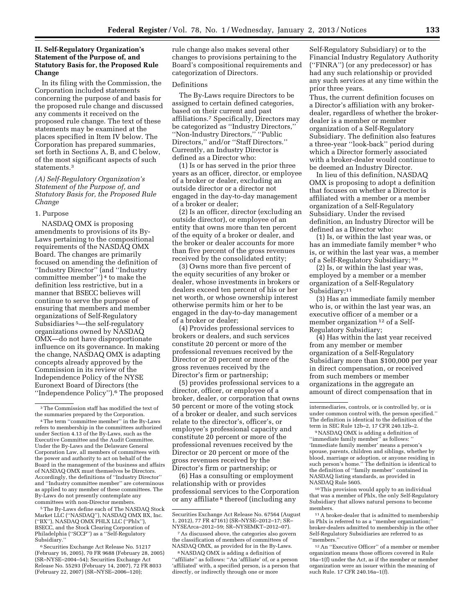## **II. Self-Regulatory Organization's Statement of the Purpose of, and Statutory Basis for, the Proposed Rule Change**

In its filing with the Commission, the Corporation included statements concerning the purpose of and basis for the proposed rule change and discussed any comments it received on the proposed rule change. The text of these statements may be examined at the places specified in Item IV below. The Corporation has prepared summaries, set forth in Sections A, B, and C below, of the most significant aspects of such statements.3

## *(A) Self-Regulatory Organization's Statement of the Purpose of, and Statutory Basis for, the Proposed Rule Change*

#### 1. Purpose

NASDAQ OMX is proposing amendments to provisions of its By-Laws pertaining to the compositional requirements of the NASDAQ OMX Board. The changes are primarily focused on amending the definition of ''Industry Director'' (and ''Industry committee member'') 4 to make the definition less restrictive, but in a manner that BSECC believes will continue to serve the purpose of ensuring that members and member organizations of Self-Regulatory Subsidiaries 5—the self-regulatory organizations owned by NASDAQ OMX—do not have disproportionate influence on its governance. In making the change, NASDAQ OMX is adapting concepts already approved by the Commission in its review of the Independence Policy of the NYSE Euronext Board of Directors (the ''Independence Policy'').6 The proposed

5The By-Laws define each of The NASDAQ Stock Market LLC (''NASDAQ''), NASDAQ OMX BX, Inc. (''BX''), NASDAQ OMX PHLX LLC (''Phlx''), BSECC, and the Stock Clearing Corporation of Philadelphia (''SCCP'') as a ''Self-Regulatory Subsidiary.''

<sup>6</sup> Securities Exchange Act Release No. 51217 (February 16, 2005), 70 FR 9688 (February 28, 2005) (SR–NYSE–2004–54); Securities Exchange Act Release No. 55293 (February 14, 2007), 72 FR 8033 (February 22, 2007) (SR–NYSE–2006–120);

rule change also makes several other changes to provisions pertaining to the Board's compositional requirements and categorization of Directors.

#### Definitions

The By-Laws require Directors to be assigned to certain defined categories, based on their current and past affiliations.7 Specifically, Directors may be categorized as ''Industry Directors,'' ''Non-Industry Directors,'' ''Public Directors,'' and/or ''Staff Directors.'' Currently, an Industry Director is defined as a Director who:

(1) Is or has served in the prior three years as an officer, director, or employee of a broker or dealer, excluding an outside director or a director not engaged in the day-to-day management of a broker or dealer;

(2) Is an officer, director (excluding an outside director), or employee of an entity that owns more than ten percent of the equity of a broker or dealer, and the broker or dealer accounts for more than five percent of the gross revenues received by the consolidated entity;

(3) Owns more than five percent of the equity securities of any broker or dealer, whose investments in brokers or dealers exceed ten percent of his or her net worth, or whose ownership interest otherwise permits him or her to be engaged in the day-to-day management of a broker or dealer;

(4) Provides professional services to brokers or dealers, and such services constitute 20 percent or more of the professional revenues received by the Director or 20 percent or more of the gross revenues received by the Director's firm or partnership;

(5) provides professional services to a director, officer, or employee of a broker, dealer, or corporation that owns 50 percent or more of the voting stock of a broker or dealer, and such services relate to the director's, officer's, or employee's professional capacity and constitute 20 percent or more of the professional revenues received by the Director or 20 percent or more of the gross revenues received by the Director's firm or partnership; or

(6) Has a consulting or employment relationship with or provides professional services to the Corporation or any affiliate<sup>8</sup> thereof (including any

Self-Regulatory Subsidiary) or to the Financial Industry Regulatory Authority (''FINRA'') (or any predecessor) or has had any such relationship or provided any such services at any time within the prior three years.

Thus, the current definition focuses on a Director's affiliation with any brokerdealer, regardless of whether the brokerdealer is a member or member organization of a Self-Regulatory Subsidiary. The definition also features a three-year ''look-back'' period during which a Director formerly associated with a broker-dealer would continue to be deemed an Industry Director.

In lieu of this definition, NASDAQ OMX is proposing to adopt a definition that focuses on whether a Director is affiliated with a member or a member organization of a Self-Regulatory Subsidiary. Under the revised definition, an Industry Director will be defined as a Director who:

(1) Is, or within the last year was, or has an immediate family member 9 who is, or within the last year was, a member of a Self-Regulatory Subsidiary; 10

(2) Is, or within the last year was, employed by a member or a member organization of a Self-Regulatory Subsidiary;<sup>11</sup>

(3) Has an immediate family member who is, or within the last year was, an executive officer of a member or a member organization <sup>12</sup> of a Self-Regulatory Subsidiary;

(4) Has within the last year received from any member or member organization of a Self-Regulatory Subsidiary more than \$100,000 per year in direct compensation, or received from such members or member organizations in the aggregate an amount of direct compensation that in

10This provision would apply to an individual that was a member of Phlx, the only Self-Regulatory Subsidiary that allows natural persons to become members.

11A broker-dealer that is admitted to membership in Phlx is referred to as a ''member organization;'' broker-dealers admitted to membership in the other Self-Regulatory Subsidiaries are referred to as ''members.''

12An ''Executive Officer'' of a member or member organization means those officers covered in Rule 16a–1(f) under the Act, as if the member or member organization were an issuer within the meaning of such Rule. 17 CFR 240.16a–1(f).

<sup>3</sup>The Commission staff has modified the text of the summaries prepared by the Corporation.

<sup>4</sup>The term ''committee member'' in the By-Laws refers to membership in the committees authorized under Section 4.13 of the By-Laws, such as the Executive Committee and the Audit Committee. Under the By-Laws and the Delaware General Corporation Law, all members of committees with the power and authority to act on behalf of the Board in the management of the business and affairs of NASDAQ OMX must themselves be Directors. Accordingly, the definitions of ''Industry Director'' and ''Industry committee member'' are coterminous as applied to any member of these committees. The By-Laws do not presently contemplate any committees with non-Director members.

Securities Exchange Act Release No. 67564 (August 1, 2012), 77 FR 47161) (SR–NYSE–2012–17; SR– NYSEArca–2012–59; SR–NYSEMKT–2012–07).

<sup>7</sup>As discussed above, the categories also govern the classification of members of committees of NASDAQ OMX, as provided for in the By-Laws.

<sup>8</sup>NASDAQ OMX is adding a definition of ''affiliate'' as follows: ''An 'affiliate' of, or a person 'affiliated' with, a specified person, is a person that directly, or indirectly through one or more

intermediaries, controls, or is controlled by, or is under common control with, the person specified.'' The definition is identical to the definition of the term in SEC Rule 12b–2, 17 CFR 240.12b–2.

<sup>9</sup>NASDAQ OMX is adding a definition of ''immediate family member'' as follows: '' 'Immediate family member' means a person's spouse, parents, children and siblings, whether by blood, marriage or adoption, or anyone residing in such person's home.'' The definition is identical to the definition of ''family member'' contained in NASDAQ listing standards, as provided in NASDAQ Rule 5605.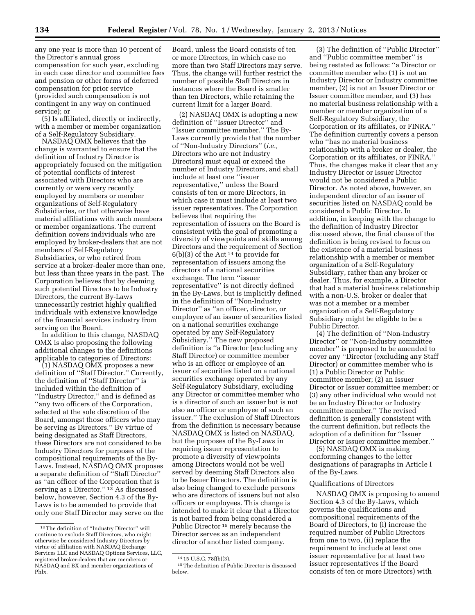any one year is more than 10 percent of the Director's annual gross compensation for such year, excluding in each case director and committee fees and pension or other forms of deferred compensation for prior service (provided such compensation is not contingent in any way on continued service); or

(5) Is affiliated, directly or indirectly, with a member or member organization of a Self-Regulatory Subsidiary.

NASDAQ OMX believes that the change is warranted to ensure that the definition of Industry Director is appropriately focused on the mitigation of potential conflicts of interest associated with Directors who are currently or were very recently employed by members or member organizations of Self-Regulatory Subsidiaries, or that otherwise have material affiliations with such members or member organizations. The current definition covers individuals who are employed by broker-dealers that are not members of Self-Regulatory Subsidiaries, or who retired from service at a broker-dealer more than one, but less than three years in the past. The Corporation believes that by deeming such potential Directors to be Industry Directors, the current By-Laws unnecessarily restrict highly qualified individuals with extensive knowledge of the financial services industry from serving on the Board.

In addition to this change, NASDAQ OMX is also proposing the following additional changes to the definitions applicable to categories of Directors:

(1) NASDAQ OMX proposes a new definition of ''Staff Director.'' Currently, the definition of ''Staff Director'' is included within the definition of ''Industry Director,'' and is defined as ''any two officers of the Corporation, selected at the sole discretion of the Board, amongst those officers who may be serving as Directors.'' By virtue of being designated as Staff Directors, these Directors are not considered to be Industry Directors for purposes of the compositional requirements of the By-Laws. Instead, NASDAQ OMX proposes a separate definition of ''Staff Director'' as ''an officer of the Corporation that is serving as a Director."<sup>13</sup> As discussed below, however, Section 4.3 of the By-Laws is to be amended to provide that only one Staff Director may serve on the

Board, unless the Board consists of ten or more Directors, in which case no more than two Staff Directors may serve. Thus, the change will further restrict the number of possible Staff Directors in instances where the Board is smaller than ten Directors, while retaining the current limit for a larger Board.

(2) NASDAQ OMX is adopting a new definition of ''Issuer Director'' and ''Issuer committee member.'' The By-Laws currently provide that the number of ''Non-Industry Directors'' (*i.e.,*  Directors who are not Industry Directors) must equal or exceed the number of Industry Directors, and shall include at least one ''issuer representative,'' unless the Board consists of ten or more Directors, in which case it must include at least two issuer representatives. The Corporation believes that requiring the representation of issuers on the Board is consistent with the goal of promoting a diversity of viewpoints and skills among Directors and the requirement of Section  $6(b)(3)$  of the Act<sup>14</sup> to provide for representation of issuers among the directors of a national securities exchange. The term ''issuer representative'' is not directly defined in the By-Laws, but is implicitly defined in the definition of ''Non-Industry Director'' as ''an officer, director, or employee of an issuer of securities listed on a national securities exchange operated by any Self-Regulatory Subsidiary.'' The new proposed definition is ''a Director (excluding any Staff Director) or committee member who is an officer or employee of an issuer of securities listed on a national securities exchange operated by any Self-Regulatory Subsidiary, excluding any Director or committee member who is a director of such an issuer but is not also an officer or employee of such an issuer.'' The exclusion of Staff Directors from the definition is necessary because NASDAQ OMX is listed on NASDAQ, but the purposes of the By-Laws in requiring issuer representation to promote a diversity of viewpoints among Directors would not be well served by deeming Staff Directors also to be Issuer Directors. The definition is also being changed to exclude persons who are directors of issuers but not also officers or employees. This change is intended to make it clear that a Director is not barred from being considered a Public Director 15 merely because the Director serves as an independent director of another listed company.

(3) The definition of ''Public Director'' and ''Public committee member'' is being restated as follows: ''a Director or committee member who (1) is not an Industry Director or Industry committee member, (2) is not an Issuer Director or Issuer committee member, and (3) has no material business relationship with a member or member organization of a Self-Regulatory Subsidiary, the Corporation or its affiliates, or FINRA.'' The definition currently covers a person who ''has no material business relationship with a broker or dealer, the Corporation or its affiliates, or FINRA.'' Thus, the changes make it clear that any Industry Director or Issuer Director would not be considered a Public Director. As noted above, however, an independent director of an issuer of securities listed on NASDAQ could be considered a Public Director. In addition, in keeping with the change to the definition of Industry Director discussed above, the final clause of the definition is being revised to focus on the existence of a material business relationship with a member or member organization of a Self-Regulatory Subsidiary, rather than any broker or dealer. Thus, for example, a Director that had a material business relationship with a non-U.S. broker or dealer that was not a member or a member organization of a Self-Regulatory Subsidiary might be eligible to be a Public Director.

(4) The definition of ''Non-Industry Director'' or ''Non-Industry committee member'' is proposed to be amended to cover any ''Director (excluding any Staff Director) or committee member who is (1) a Public Director or Public committee member; (2) an Issuer Director or Issuer committee member; or (3) any other individual who would not be an Industry Director or Industry committee member.'' The revised definition is generally consistent with the current definition, but reflects the adoption of a definition for ''Issuer Director or Issuer committee member.''

(5) NASDAQ OMX is making conforming changes to the letter designations of paragraphs in Article I of the By-Laws.

### Qualifications of Directors

NASDAQ OMX is proposing to amend Section 4.3 of the By-Laws, which governs the qualifications and compositional requirements of the Board of Directors, to (i) increase the required number of Public Directors from one to two, (ii) replace the requirement to include at least one issuer representative (or at least two issuer representatives if the Board consists of ten or more Directors) with

<sup>13</sup>The definition of ''Industry Director'' will continue to exclude Staff Directors, who might otherwise be considered Industry Directors by virtue of affiliation with NASDAQ Exchange Services LLC and NASDAQ Options Services, LLC, registered broker-dealers that are members or NASDAQ and BX and member organizations of Phlx.

<sup>14</sup> 15 U.S.C. 78f(b)(3).

<sup>15</sup>The definition of Public Director is discussed below.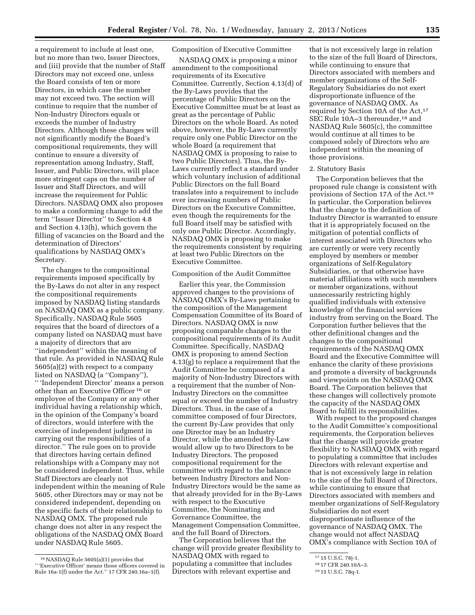a requirement to include at least one, but no more than two, Issuer Directors, and (iii) provide that the number of Staff Directors may not exceed one, unless the Board consists of ten or more Directors, in which case the number may not exceed two. The section will continue to require that the number of Non-Industry Directors equals or exceeds the number of Industry Directors. Although these changes will not significantly modify the Board's compositional requirements, they will continue to ensure a diversity of representation among Industry, Staff, Issuer, and Public Directors, will place more stringent caps on the number of Issuer and Staff Directors, and will increase the requirement for Public Directors. NASDAQ OMX also proposes to make a conforming change to add the term ''Issuer Director'' to Section 4.8 and Section 4.13(h), which govern the filling of vacancies on the Board and the determination of Directors' qualifications by NASDAQ OMX's Secretary.

The changes to the compositional requirements imposed specifically by the By-Laws do not alter in any respect the compositional requirements imposed by NASDAQ listing standards on NASDAQ OMX as a public company. Specifically, NASDAQ Rule 5605 requires that the board of directors of a company listed on NASDAQ must have a majority of directors that are ''independent'' within the meaning of that rule. As provided in NASDAQ Rule 5605(a)(2) with respect to a company listed on NASDAQ (a ''Company''), '' 'Independent Director' means a person other than an Executive Officer 16 or employee of the Company or any other individual having a relationship which, in the opinion of the Company's board of directors, would interfere with the exercise of independent judgment in carrying out the responsibilities of a director.'' The rule goes on to provide that directors having certain defined relationships with a Company may not be considered independent. Thus, while Staff Directors are clearly not independent within the meaning of Rule 5605, other Directors may or may not be considered independent, depending on the specific facts of their relationship to NASDAQ OMX. The proposed rule change does not alter in any respect the obligations of the NASDAQ OMX Board under NASDAQ Rule 5605.

## Composition of Executive Committee

NASDAQ OMX is proposing a minor amendment to the compositional requirements of its Executive Committee. Currently, Section 4.13(d) of the By-Laws provides that the percentage of Public Directors on the Executive Committee must be at least as great as the percentage of Public Directors on the whole Board. As noted above, however, the By-Laws currently require only one Public Director on the whole Board (a requirement that NASDAQ OMX is proposing to raise to two Public Directors). Thus, the By-Laws currently reflect a standard under which voluntary inclusion of additional Public Directors on the full Board translates into a requirement to include ever increasing numbers of Public Directors on the Executive Committee, even though the requirements for the full Board itself may be satisfied with only one Public Director. Accordingly, NASDAQ OMX is proposing to make the requirements consistent by requiring at least two Public Directors on the Executive Committee.

### Composition of the Audit Committee

Earlier this year, the Commission approved changes to the provisions of NASDAQ OMX's By-Laws pertaining to the composition of the Management Compensation Committee of its Board of Directors. NASDAQ OMX is now proposing comparable changes to the compositional requirements of its Audit Committee. Specifically, NASDAQ OMX is proposing to amend Section 4.13(g) to replace a requirement that the Audit Committee be composed of a majority of Non-Industry Directors with a requirement that the number of Non-Industry Directors on the committee equal or exceed the number of Industry Directors. Thus, in the case of a committee composed of four Directors, the current By-Law provides that only one Director may be an Industry Director, while the amended By-Law would allow up to two Directors to be Industry Directors. The proposed compositional requirement for the committee with regard to the balance between Industry Directors and Non-Industry Directors would be the same as that already provided for in the By-Laws with respect to the Executive Committee, the Nominating and Governance Committee, the Management Compensation Committee, and the full Board of Directors.

The Corporation believes that the change will provide greater flexibility to NASDAQ OMX with regard to populating a committee that includes Directors with relevant expertise and

that is not excessively large in relation to the size of the full Board of Directors, while continuing to ensure that Directors associated with members and member organizations of the Self-Regulatory Subsidiaries do not exert disproportionate influence of the governance of NASDAQ OMX. As required by Section 10A of the Act,<sup>17</sup> SEC Rule 10A-3 thereunder,<sup>18</sup> and NASDAQ Rule 5605(c), the committee would continue at all times to be composed solely of Directors who are independent within the meaning of those provisions.

#### 2. Statutory Basis

The Corporation believes that the proposed rule change is consistent with provisions of Section 17A of the Act.19 In particular, the Corporation believes that the change to the definition of Industry Director is warranted to ensure that it is appropriately focused on the mitigation of potential conflicts of interest associated with Directors who are currently or were very recently employed by members or member organizations of Self-Regulatory Subsidiaries, or that otherwise have material affiliations with such members or member organizations, without unnecessarily restricting highly qualified individuals with extensive knowledge of the financial services industry from serving on the Board. The Corporation further believes that the other definitional changes and the changes to the compositional requirements of the NASDAQ OMX Board and the Executive Committee will enhance the clarity of these provisions and promote a diversity of backgrounds and viewpoints on the NASDAQ OMX Board. The Corporation believes that these changes will collectively promote the capacity of the NASDAQ OMX Board to fulfill its responsibilities.

With respect to the proposed changes to the Audit Committee's compositional requirements, the Corporation believes that the change will provide greater flexibility to NASDAQ OMX with regard to populating a committee that includes Directors with relevant expertise and that is not excessively large in relation to the size of the full Board of Directors, while continuing to ensure that Directors associated with members and member organizations of Self-Regulatory Subsidiaries do not exert disproportionate influence of the governance of NASDAQ OMX. The change would not affect NASDAQ OMX's compliance with Section 10A of

<sup>16</sup>NASDAQ Rule 5605(a)(1) provides that '' 'Executive Officer' means those officers covered in Rule 16a-1(f) under the Act.'' 17 CFR 240.16a–1(f).

<sup>17</sup> 15 U.S.C. 78j-1.

<sup>18</sup> 17 CFR 240.10A–3.

<sup>19</sup> 15 U.S.C. 78q-1.